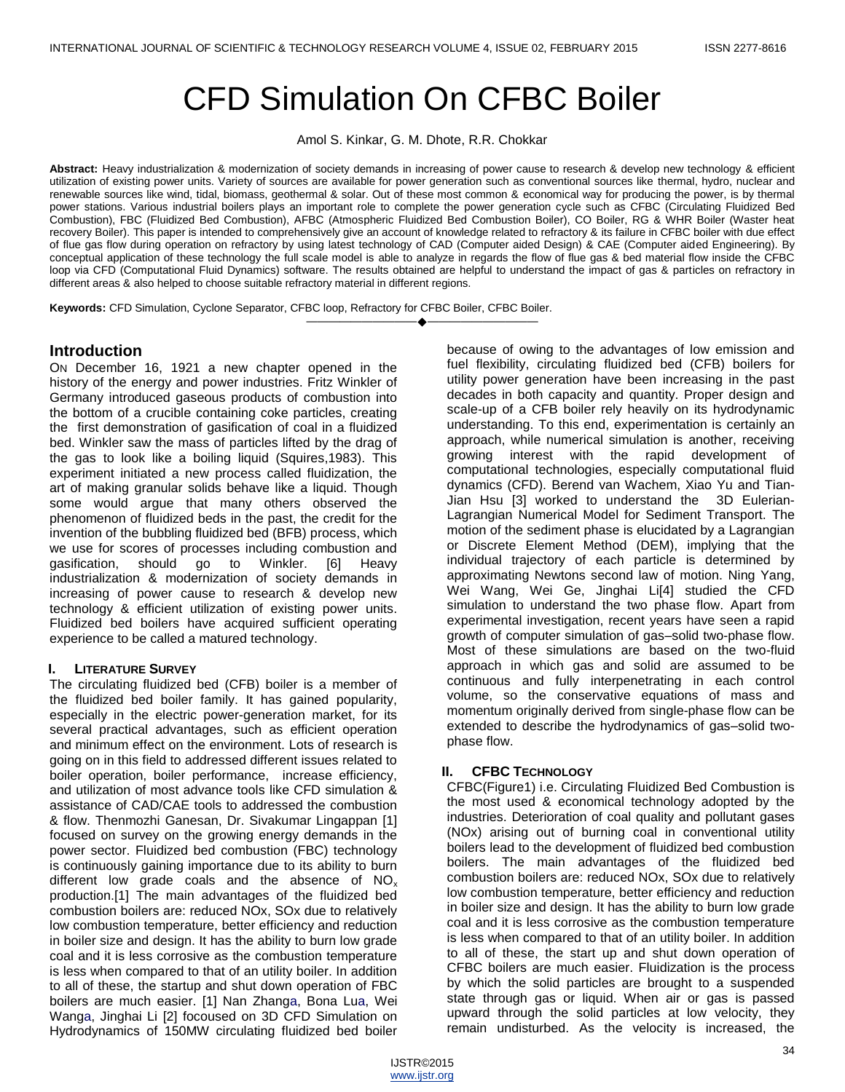# CFD Simulation On CFBC Boiler

Amol S. Kinkar, G. M. Dhote, R.R. Chokkar

**Abstract:** Heavy industrialization & modernization of society demands in increasing of power cause to research & develop new technology & efficient utilization of existing power units. Variety of sources are available for power generation such as conventional sources like thermal, hydro, nuclear and renewable sources like wind, tidal, biomass, geothermal & solar. Out of these most common & economical way for producing the power, is by thermal power stations. Various industrial boilers plays an important role to complete the power generation cycle such as CFBC (Circulating Fluidized Bed Combustion), FBC (Fluidized Bed Combustion), AFBC (Atmospheric Fluidized Bed Combustion Boiler), CO Boiler, RG & WHR Boiler (Waster heat recovery Boiler). This paper is intended to comprehensively give an account of knowledge related to refractory & its failure in CFBC boiler with due effect of flue gas flow during operation on refractory by using latest technology of CAD (Computer aided Design) & CAE (Computer aided Engineering). By conceptual application of these technology the full scale model is able to analyze in regards the flow of flue gas & bed material flow inside the CFBC loop via CFD (Computational Fluid Dynamics) software. The results obtained are helpful to understand the impact of gas & particles on refractory in different areas & also helped to choose suitable refractory material in different regions.

————————————————————

**Keywords:** CFD Simulation, Cyclone Separator, CFBC loop, Refractory for CFBC Boiler, CFBC Boiler.

# **Introduction**

ON December 16, 1921 a new chapter opened in the history of the energy and power industries. Fritz Winkler of Germany introduced gaseous products of combustion into the bottom of a crucible containing coke particles, creating the first demonstration of gasification of coal in a fluidized bed. Winkler saw the mass of particles lifted by the drag of the gas to look like a boiling liquid (Squires,1983). This experiment initiated a new process called fluidization, the art of making granular solids behave like a liquid. Though some would argue that many others observed the phenomenon of fluidized beds in the past, the credit for the invention of the bubbling fluidized bed (BFB) process, which we use for scores of processes including combustion and gasification, should go to Winkler. [6] Heavy industrialization & modernization of society demands in increasing of power cause to research & develop new technology & efficient utilization of existing power units. Fluidized bed boilers have acquired sufficient operating experience to be called a matured technology.

## **I. LITERATURE SURVEY**

The circulating fluidized bed (CFB) boiler is a member of the fluidized bed boiler family. It has gained popularity, especially in the electric power-generation market, for its several practical advantages, such as efficient operation and minimum effect on the environment. Lots of research is going on in this field to addressed different issues related to boiler operation, boiler performance, increase efficiency, and utilization of most advance tools like CFD simulation & assistance of CAD/CAE tools to addressed the combustion & flow. Thenmozhi Ganesan, Dr. Sivakumar Lingappan [1] focused on survey on the growing energy demands in the power sector. Fluidized bed combustion (FBC) technology is continuously gaining importance due to its ability to burn different low grade coals and the absence of  $NO<sub>x</sub>$ production.[1] The main advantages of the fluidized bed combustion boilers are: reduced NOx, SOx due to relatively low combustion temperature, better efficiency and reduction in boiler size and design. It has the ability to burn low grade coal and it is less corrosive as the combustion temperature is less when compared to that of an utility boiler. In addition to all of these, the startup and shut down operation of FBC boilers are much easier. [1] Nan Zhanga, Bona Lua, Wei Wanga, Jinghai Li [2] focoused on 3D CFD Simulation on Hydrodynamics of 150MW circulating fluidized bed boiler because of owing to the advantages of low emission and fuel flexibility, circulating fluidized bed (CFB) boilers for utility power generation have been increasing in the past decades in both capacity and quantity. Proper design and scale-up of a CFB boiler rely heavily on its hydrodynamic understanding. To this end, experimentation is certainly an approach, while numerical simulation is another, receiving growing interest with the rapid development of computational technologies, especially computational fluid dynamics (CFD). Berend van Wachem, Xiao Yu and Tian-Jian Hsu [3] worked to understand the 3D Eulerian-Lagrangian Numerical Model for Sediment Transport. The motion of the sediment phase is elucidated by a Lagrangian or Discrete Element Method (DEM), implying that the individual trajectory of each particle is determined by approximating Newtons second law of motion. Ning Yang, Wei Wang, Wei Ge, Jinghai Li[4] studied the CFD simulation to understand the two phase flow. Apart from experimental investigation, recent years have seen a rapid growth of computer simulation of gas–solid two-phase flow. Most of these simulations are based on the two-fluid approach in which gas and solid are assumed to be continuous and fully interpenetrating in each control volume, so the conservative equations of mass and momentum originally derived from single-phase flow can be extended to describe the hydrodynamics of gas–solid twophase flow.

## **II. CFBC TECHNOLOGY**

CFBC(Figure1) i.e. Circulating Fluidized Bed Combustion is the most used & economical technology adopted by the industries. Deterioration of coal quality and pollutant gases (NOx) arising out of burning coal in conventional utility boilers lead to the development of fluidized bed combustion boilers. The main advantages of the fluidized bed combustion boilers are: reduced NOx, SOx due to relatively low combustion temperature, better efficiency and reduction in boiler size and design. It has the ability to burn low grade coal and it is less corrosive as the combustion temperature is less when compared to that of an utility boiler. In addition to all of these, the start up and shut down operation of CFBC boilers are much easier. Fluidization is the process by which the solid particles are brought to a suspended state through gas or liquid. When air or gas is passed upward through the solid particles at low velocity, they remain undisturbed. As the velocity is increased, the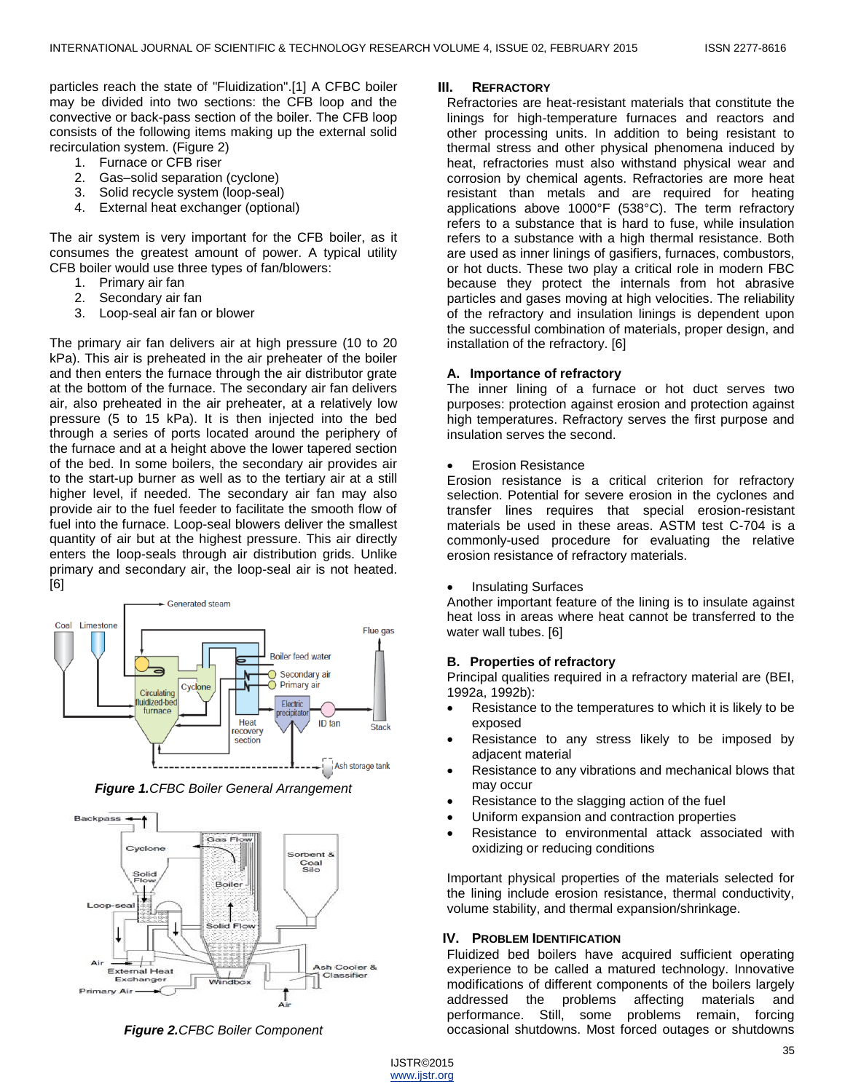particles reach the state of "Fluidization".[1] A CFBC boiler may be divided into two sections: the CFB loop and the convective or back-pass section of the boiler. The CFB loop consists of the following items making up the external solid recirculation system. (Figure 2)

- 1. Furnace or CFB riser
- 2. Gas–solid separation (cyclone)
- 3. Solid recycle system (loop-seal)
- 4. External heat exchanger (optional)

The air system is very important for the CFB boiler, as it consumes the greatest amount of power. A typical utility CFB boiler would use three types of fan/blowers:

- 1. Primary air fan
- 2. Secondary air fan
- 3. Loop-seal air fan or blower

The primary air fan delivers air at high pressure (10 to 20 kPa). This air is preheated in the air preheater of the boiler and then enters the furnace through the air distributor grate at the bottom of the furnace. The secondary air fan delivers air, also preheated in the air preheater, at a relatively low pressure (5 to 15 kPa). It is then injected into the bed through a series of ports located around the periphery of the furnace and at a height above the lower tapered section of the bed. In some boilers, the secondary air provides air to the start-up burner as well as to the tertiary air at a still higher level, if needed. The secondary air fan may also provide air to the fuel feeder to facilitate the smooth flow of fuel into the furnace. Loop-seal blowers deliver the smallest quantity of air but at the highest pressure. This air directly enters the loop-seals through air distribution grids. Unlike primary and secondary air, the loop-seal air is not heated. [6]



*Figure 1.CFBC Boiler General Arrangement*



*Figure 2.CFBC Boiler Component*

#### **III. REFRACTORY**

Refractories are heat-resistant materials that constitute the linings for high-temperature furnaces and reactors and other processing units. In addition to being resistant to thermal stress and other physical phenomena induced by heat, refractories must also withstand physical wear and corrosion by chemical agents. Refractories are more heat resistant than metals and are required for heating applications above 1000°F (538°C). The term refractory refers to a substance that is hard to fuse, while insulation refers to a substance with a high thermal resistance. Both are used as inner linings of gasifiers, furnaces, combustors, or hot ducts. These two play a critical role in modern FBC because they protect the internals from hot abrasive particles and gases moving at high velocities. The reliability of the refractory and insulation linings is dependent upon the successful combination of materials, proper design, and installation of the refractory. [6]

#### **A. Importance of refractory**

The inner lining of a furnace or hot duct serves two purposes: protection against erosion and protection against high temperatures. Refractory serves the first purpose and insulation serves the second.

#### Erosion Resistance

Erosion resistance is a critical criterion for refractory selection. Potential for severe erosion in the cyclones and transfer lines requires that special erosion-resistant materials be used in these areas. ASTM test C-704 is a commonly-used procedure for evaluating the relative erosion resistance of refractory materials.

Insulating Surfaces

Another important feature of the lining is to insulate against heat loss in areas where heat cannot be transferred to the water wall tubes. [6]

#### **B. Properties of refractory**

Principal qualities required in a refractory material are (BEI, 1992a, 1992b):

- Resistance to the temperatures to which it is likely to be exposed
- Resistance to any stress likely to be imposed by adjacent material
- Resistance to any vibrations and mechanical blows that may occur
- Resistance to the slagging action of the fuel
- Uniform expansion and contraction properties
- Resistance to environmental attack associated with oxidizing or reducing conditions

Important physical properties of the materials selected for the lining include erosion resistance, thermal conductivity, volume stability, and thermal expansion/shrinkage.

#### **IV. PROBLEM IDENTIFICATION**

Fluidized bed boilers have acquired sufficient operating experience to be called a matured technology. Innovative modifications of different components of the boilers largely addressed the problems affecting materials and performance. Still, some problems remain, forcing occasional shutdowns. Most forced outages or shutdowns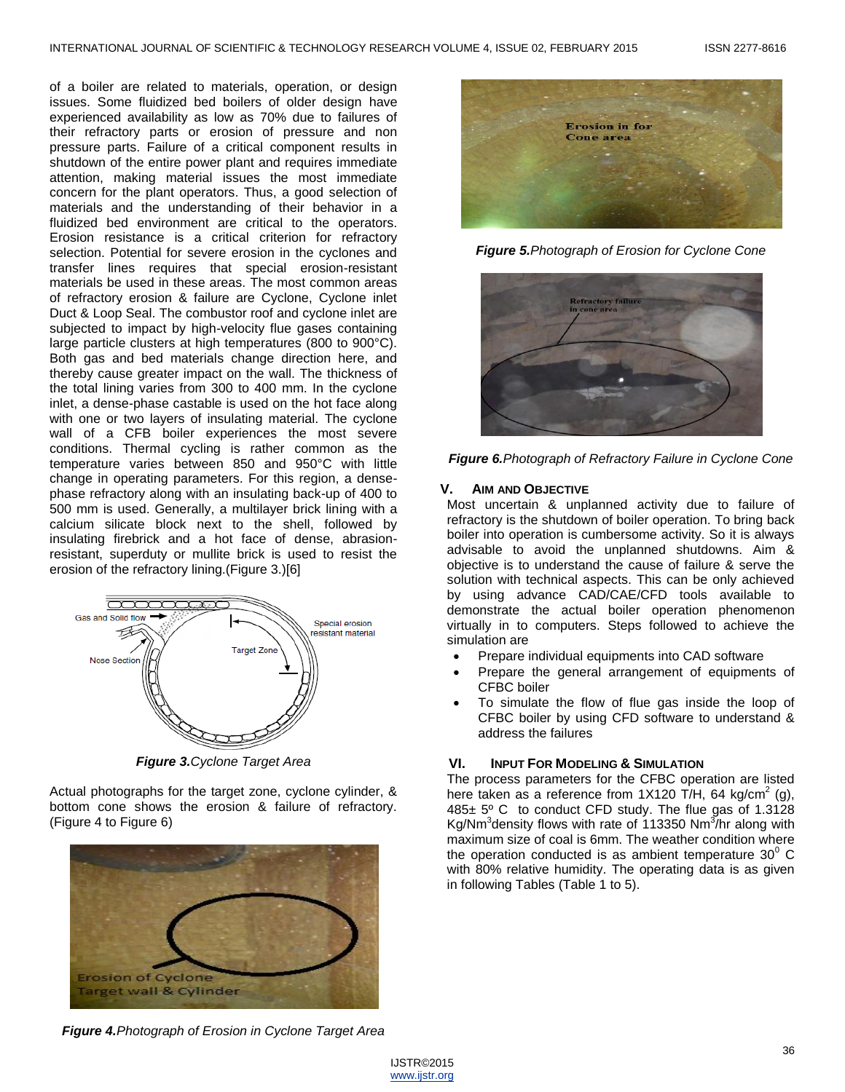of a boiler are related to materials, operation, or design issues. Some fluidized bed boilers of older design have experienced availability as low as 70% due to failures of their refractory parts or erosion of pressure and non pressure parts. Failure of a critical component results in shutdown of the entire power plant and requires immediate attention, making material issues the most immediate concern for the plant operators. Thus, a good selection of materials and the understanding of their behavior in a fluidized bed environment are critical to the operators. Erosion resistance is a critical criterion for refractory selection. Potential for severe erosion in the cyclones and transfer lines requires that special erosion-resistant materials be used in these areas. The most common areas of refractory erosion & failure are Cyclone, Cyclone inlet Duct & Loop Seal. The combustor roof and cyclone inlet are subjected to impact by high-velocity flue gases containing large particle clusters at high temperatures (800 to 900°C). Both gas and bed materials change direction here, and thereby cause greater impact on the wall. The thickness of the total lining varies from 300 to 400 mm. In the cyclone inlet, a dense-phase castable is used on the hot face along with one or two layers of insulating material. The cyclone wall of a CFB boiler experiences the most severe conditions. Thermal cycling is rather common as the temperature varies between 850 and 950°C with little change in operating parameters. For this region, a densephase refractory along with an insulating back-up of 400 to 500 mm is used. Generally, a multilayer brick lining with a calcium silicate block next to the shell, followed by insulating firebrick and a hot face of dense, abrasionresistant, superduty or mullite brick is used to resist the erosion of the refractory lining.(Figure 3.)[6]



*Figure 3.Cyclone Target Area*

Actual photographs for the target zone, cyclone cylinder, & bottom cone shows the erosion & failure of refractory. (Figure 4 to Figure 6)





*Figure 5.Photograph of Erosion for Cyclone Cone*



*Figure 6.Photograph of Refractory Failure in Cyclone Cone*

## **V. AIM AND OBJECTIVE**

Most uncertain & unplanned activity due to failure of refractory is the shutdown of boiler operation. To bring back boiler into operation is cumbersome activity. So it is always advisable to avoid the unplanned shutdowns. Aim & objective is to understand the cause of failure & serve the solution with technical aspects. This can be only achieved by using advance CAD/CAE/CFD tools available to demonstrate the actual boiler operation phenomenon virtually in to computers. Steps followed to achieve the simulation are

- Prepare individual equipments into CAD software
- Prepare the general arrangement of equipments of CFBC boiler
- To simulate the flow of flue gas inside the loop of CFBC boiler by using CFD software to understand & address the failures

## **VI. INPUT FOR MODELING & SIMULATION**

The process parameters for the CFBC operation are listed here taken as a reference from 1X120 T/H, 64 kg/cm<sup>2</sup> (g), 485± 5° C to conduct CFD study. The flue gas of 1.3128 Kg/Nm<sup>3</sup>density flows with rate of 113350 Nm<sup>3</sup>/hr along with maximum size of coal is 6mm. The weather condition where the operation conducted is as ambient temperature  $30^{\circ}$  C with 80% relative humidity. The operating data is as given in following Tables (Table 1 to 5).

*Figure 4.Photograph of Erosion in Cyclone Target Area*

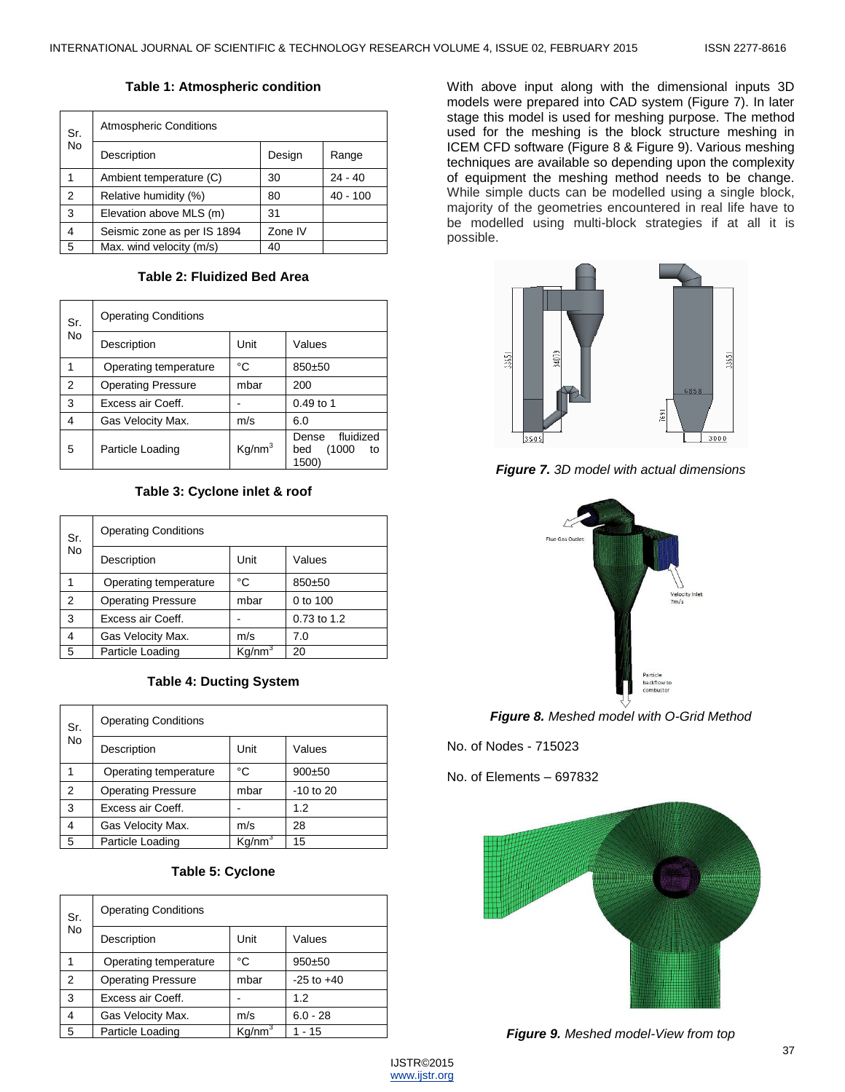#### **Table 1: Atmospheric condition**

| Sr.<br><b>No</b> | <b>Atmospheric Conditions</b> |         |            |  |
|------------------|-------------------------------|---------|------------|--|
|                  | Description                   | Design  | Range      |  |
| 1                | Ambient temperature (C)       | 30      | $24 - 40$  |  |
| 2                | Relative humidity (%)         | 80      | $40 - 100$ |  |
| 3                | Elevation above MLS (m)       | 31      |            |  |
| 4                | Seismic zone as per IS 1894   | Zone IV |            |  |
| 5                | Max. wind velocity (m/s)      | 40      |            |  |

## **Table 2: Fluidized Bed Area**

| Sr.<br><b>No</b> | <b>Operating Conditions</b> |                    |                                                    |
|------------------|-----------------------------|--------------------|----------------------------------------------------|
|                  | Description                 | Unit               | Values                                             |
| 1                | Operating temperature       | °C                 | $850 + 50$                                         |
| $\overline{2}$   | <b>Operating Pressure</b>   | mbar               | 200                                                |
| 3                | Excess air Coeff.           |                    | $0.49$ to 1                                        |
| 4                | Gas Velocity Max.           | m/s                | 6.0                                                |
| 5                | Particle Loading            | Kg/nm <sup>3</sup> | fluidized<br>Dense<br>(1000)<br>bed<br>to<br>1500) |

#### **Table 3: Cyclone inlet & roof**

| Sr.<br><b>No</b> | <b>Operating Conditions</b> |                    |             |
|------------------|-----------------------------|--------------------|-------------|
|                  | Description                 | Unit               | Values      |
| 1                | Operating temperature       | °C                 | $850 + 50$  |
| $\overline{2}$   | <b>Operating Pressure</b>   | mbar               | 0 to 100    |
| 3                | Excess air Coeff.           |                    | 0.73 to 1.2 |
| 4                | Gas Velocity Max.           | m/s                | 7.0         |
| 5                | Particle Loading            | Kg/nm <sup>3</sup> | 20          |

## **Table 4: Ducting System**

| Sr.<br><b>No</b> | <b>Operating Conditions</b> |                    |             |
|------------------|-----------------------------|--------------------|-------------|
|                  | Description                 | Unit               | Values      |
|                  | Operating temperature       | °C                 | $900+50$    |
| 2                | <b>Operating Pressure</b>   | mbar               | $-10$ to 20 |
| 3                | Excess air Coeff.           |                    | 1.2         |
|                  | Gas Velocity Max.           | m/s                | 28          |
| 5                | Particle Loading            | Kq/nm <sup>3</sup> | 15          |

## **Table 5: Cyclone**

| Sr.            | <b>Operating Conditions</b> |                    |                |
|----------------|-----------------------------|--------------------|----------------|
| <b>No</b>      | Description                 | Unit               | Values         |
| 1              | Operating temperature       | °C                 | $950+50$       |
| $\mathfrak{p}$ | <b>Operating Pressure</b>   | mbar               | $-25$ to $+40$ |
| 3              | Excess air Coeff.           |                    | 1.2            |
| 4              | Gas Velocity Max.           | m/s                | $6.0 - 28$     |
| 5              | Particle Loading            | Kq/nm <sup>3</sup> | $-15$          |

With above input along with the dimensional inputs 3D models were prepared into CAD system (Figure 7). In later stage this model is used for meshing purpose. The method used for the meshing is the block structure meshing in ICEM CFD software (Figure 8 & Figure 9). Various meshing techniques are available so depending upon the complexity of equipment the meshing method needs to be change. While simple ducts can be modelled using a single block, majority of the geometries encountered in real life have to be modelled using multi-block strategies if at all it is possible.



*Figure 7. 3D model with actual dimensions*



*Figure 8. Meshed model with O-Grid Method*

No. of Nodes - 715023

No. of Elements – 697832



*Figure 9. Meshed model-View from top*

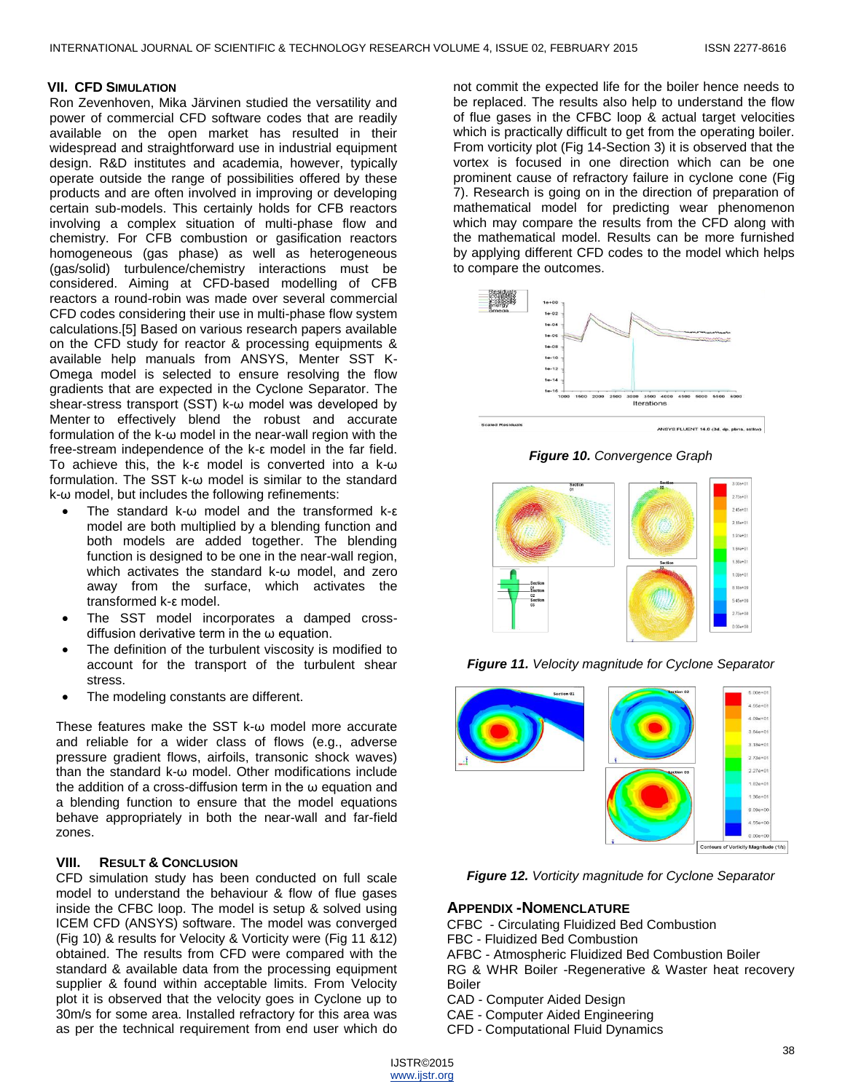#### **VII. CFD SIMULATION**

Ron Zevenhoven, Mika Järvinen studied the versatility and power of commercial CFD software codes that are readily available on the open market has resulted in their widespread and straightforward use in industrial equipment design. R&D institutes and academia, however, typically operate outside the range of possibilities offered by these products and are often involved in improving or developing certain sub-models. This certainly holds for CFB reactors involving a complex situation of multi-phase flow and chemistry. For CFB combustion or gasification reactors homogeneous (gas phase) as well as heterogeneous (gas/solid) turbulence/chemistry interactions must be considered. Aiming at CFD-based modelling of CFB reactors a round-robin was made over several commercial CFD codes considering their use in multi-phase flow system calculations.[5] Based on various research papers available on the CFD study for reactor & processing equipments & available help manuals from ANSYS, Menter SST K-Omega model is selected to ensure resolving the flow gradients that are expected in the Cyclone Separator. The shear-stress transport (SST) k-ω model was developed by Menter to effectively blend the robust and accurate formulation of the k-ω model in the near-wall region with the free-stream independence of the k-ε model in the far field. To achieve this, the k-ε model is converted into a k-ω formulation. The SST k-ω model is similar to the standard k-ω model, but includes the following refinements:

- The standard k-ω model and the transformed k-ε model are both multiplied by a blending function and both models are added together. The blending function is designed to be one in the near-wall region, which activates the standard k-ω model, and zero away from the surface, which activates the transformed k-ε model.
- The SST model incorporates a damped crossdiffusion derivative term in the ω equation.
- The definition of the turbulent viscosity is modified to account for the transport of the turbulent shear stress.
- The modeling constants are different.

These features make the SST k-ω model more accurate and reliable for a wider class of flows (e.g., adverse pressure gradient flows, airfoils, transonic shock waves) than the standard k-ω model. Other modifications include the addition of a cross-diffusion term in the ω equation and a blending function to ensure that the model equations behave appropriately in both the near-wall and far-field zones.

#### **VIII. RESULT & CONCLUSION**

CFD simulation study has been conducted on full scale model to understand the behaviour & flow of flue gases inside the CFBC loop. The model is setup & solved using ICEM CFD (ANSYS) software. The model was converged (Fig 10) & results for Velocity & Vorticity were (Fig 11 &12) obtained. The results from CFD were compared with the standard & available data from the processing equipment supplier & found within acceptable limits. From Velocity plot it is observed that the velocity goes in Cyclone up to 30m/s for some area. Installed refractory for this area was as per the technical requirement from end user which do not commit the expected life for the boiler hence needs to be replaced. The results also help to understand the flow of flue gases in the CFBC loop & actual target velocities which is practically difficult to get from the operating boiler. From vorticity plot (Fig 14-Section 3) it is observed that the vortex is focused in one direction which can be one prominent cause of refractory failure in cyclone cone (Fig 7). Research is going on in the direction of preparation of mathematical model for predicting wear phenomenon which may compare the results from the CFD along with the mathematical model. Results can be more furnished by applying different CFD codes to the model which helps to compare the outcomes.



*Figure 10. Convergence Graph*



*Figure 11. Velocity magnitude for Cyclone Separator*



*Figure 12. Vorticity magnitude for Cyclone Separator*

## **APPENDIX -NOMENCLATURE**

CFBC - Circulating Fluidized Bed Combustion FBC - Fluidized Bed Combustion AFBC - Atmospheric Fluidized Bed Combustion Boiler RG & WHR Boiler -Regenerative & Waster heat recovery Boiler

- CAD Computer Aided Design
- CAE Computer Aided Engineering
- CFD Computational Fluid Dynamics